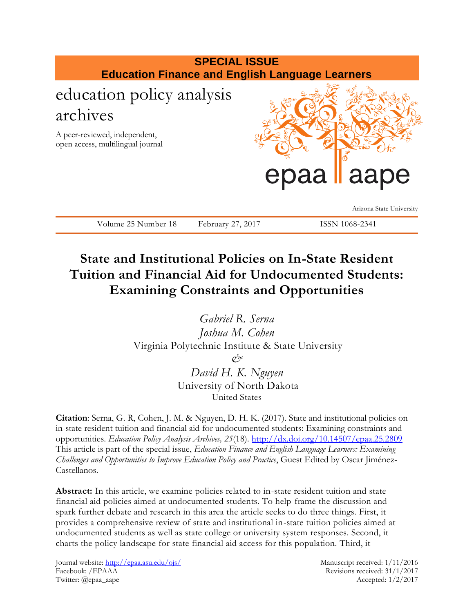

# **State and Institutional Policies on In-State Resident Tuition and Financial Aid for Undocumented Students: Examining Constraints and Opportunities**

*Gabriel R. Serna Joshua M. Cohen* Virginia Polytechnic Institute & State University *& David H. K. Nguyen*

University of North Dakota United States

**Citation**: Serna, G. R, Cohen, J. M. & Nguyen, D. H. K. (2017). State and institutional policies on in-state resident tuition and financial aid for undocumented students: Examining constraints and opportunities. *Education Policy Analysis Archives, 25*(18). <http://dx.doi.org/10.14507/epaa.25.2809> This article is part of the special issue, *Education Finance and English Language Learners: Examining Challenges and Opportunities to Improve Education Policy and Practice*, Guest Edited by Oscar Jiménez-Castellanos.

**Abstract:** In this article, we examine policies related to in-state resident tuition and state financial aid policies aimed at undocumented students. To help frame the discussion and spark further debate and research in this area the article seeks to do three things. First, it provides a comprehensive review of state and institutional in-state tuition policies aimed at undocumented students as well as state college or university system responses. Second, it charts the policy landscape for state financial aid access for this population. Third, it

Journal website: http://epaa.asu.edu/ojs/ Manuscript received: 1/11/2016 Facebook: /EPAAA Revisions received: 31/1/2017 Twitter: @epaa\_aape Accepted: 1/2/2017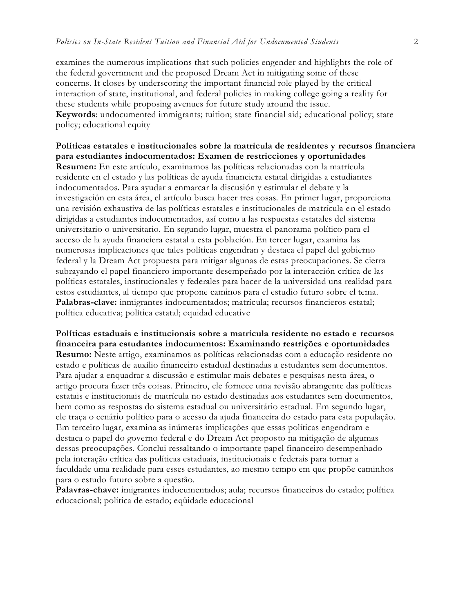examines the numerous implications that such policies engender and highlights the role of the federal government and the proposed Dream Act in mitigating some of these concerns. It closes by underscoring the important financial role played by the critical interaction of state, institutional, and federal policies in making college going a reality for these students while proposing avenues for future study around the issue. **Keywords**: undocumented immigrants; tuition; state financial aid; educational policy; state policy; educational equity

**Políticas estatales e institucionales sobre la matrícula de residentes y recursos financiera para estudiantes indocumentados: Examen de restricciones y oportunidades Resumen:** En este artículo, examinamos las políticas relacionadas con la matrícula residente en el estado y las políticas de ayuda financiera estatal dirigidas a estudiantes indocumentados. Para ayudar a enmarcar la discusión y estimular el debate y la investigación en esta área, el artículo busca hacer tres cosas. En primer lugar, proporciona una revisión exhaustiva de las políticas estatales e institucionales de matrícula en el estado dirigidas a estudiantes indocumentados, así como a las respuestas estatales del sistema universitario o universitario. En segundo lugar, muestra el panorama político para el acceso de la ayuda financiera estatal a esta población. En tercer lugar, examina las numerosas implicaciones que tales políticas engendran y destaca el papel del gobierno federal y la Dream Act propuesta para mitigar algunas de estas preocupaciones. Se cierra subrayando el papel financiero importante desempeñado por la interacción crítica de las políticas estatales, institucionales y federales para hacer de la universidad una realidad para estos estudiantes, al tiempo que propone caminos para el estudio futuro sobre el tema. **Palabras-clave:** inmigrantes indocumentados; matrícula; recursos financieros estatal; política educativa; política estatal; equidad educative

**Políticas estaduais e institucionais sobre a matrícula residente no estado e recursos financeira para estudantes indocumentos: Examinando restrições e oportunidades Resumo:** Neste artigo, examinamos as políticas relacionadas com a educação residente no estado e políticas de auxílio financeiro estadual destinadas a estudantes sem documentos. Para ajudar a enquadrar a discussão e estimular mais debates e pesquisas nesta área, o artigo procura fazer três coisas. Primeiro, ele fornece uma revisão abrangente das políticas estatais e institucionais de matrícula no estado destinadas aos estudantes sem documentos, bem como as respostas do sistema estadual ou universitário estadual. Em segundo lugar, ele traça o cenário político para o acesso da ajuda financeira do estado para esta população. Em terceiro lugar, examina as inúmeras implicações que essas políticas engendram e destaca o papel do governo federal e do Dream Act proposto na mitigação de algumas dessas preocupações. Conclui ressaltando o importante papel financeiro desempenhado pela interação crítica das políticas estaduais, institucionais e federais para tornar a faculdade uma realidade para esses estudantes, ao mesmo tempo em que propõe caminhos para o estudo futuro sobre a questão.

**Palavras-chave:** imigrantes indocumentados; aula; recursos financeiros do estado; política educacional; política de estado; eqüidade educacional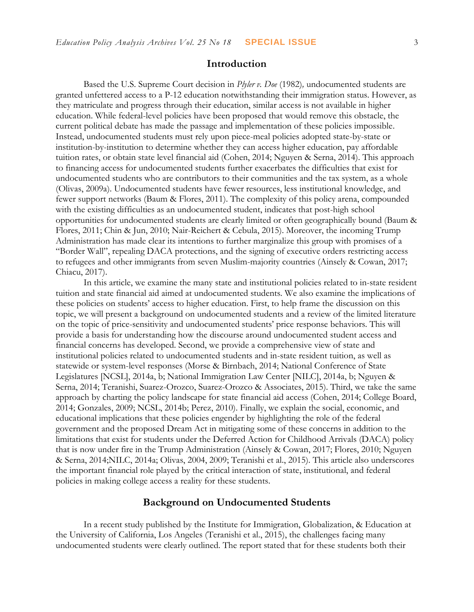## **Introduction**

Based the U.S. Supreme Court decision in *Plyler v. Doe* (1982)*,* undocumented students are granted unfettered access to a P-12 education notwithstanding their immigration status. However, as they matriculate and progress through their education, similar access is not available in higher education. While federal-level policies have been proposed that would remove this obstacle, the current political debate has made the passage and implementation of these policies impossible. Instead, undocumented students must rely upon piece-meal policies adopted state-by-state or institution-by-institution to determine whether they can access higher education, pay affordable tuition rates, or obtain state level financial aid (Cohen, 2014; Nguyen & Serna, 2014). This approach to financing access for undocumented students further exacerbates the difficulties that exist for undocumented students who are contributors to their communities and the tax system, as a whole (Olivas, 2009a). Undocumented students have fewer resources, less institutional knowledge, and fewer support networks (Baum & Flores, 2011). The complexity of this policy arena, compounded with the existing difficulties as an undocumented student, indicates that post-high school opportunities for undocumented students are clearly limited or often geographically bound (Baum & Flores, 2011; Chin & Jun, 2010; Nair-Reichert & Cebula, 2015). Moreover, the incoming Trump Administration has made clear its intentions to further marginalize this group with promises of a "Border Wall", repealing DACA protections, and the signing of executive orders restricting access to refugees and other immigrants from seven Muslim-majority countries (Ainsely & Cowan, 2017; Chiacu, 2017).

In this article, we examine the many state and institutional policies related to in-state resident tuition and state financial aid aimed at undocumented students. We also examine the implications of these policies on students' access to higher education. First, to help frame the discussion on this topic, we will present a background on undocumented students and a review of the limited literature on the topic of price-sensitivity and undocumented students' price response behaviors. This will provide a basis for understanding how the discourse around undocumented student access and financial concerns has developed. Second, we provide a comprehensive view of state and institutional policies related to undocumented students and in-state resident tuition, as well as statewide or system-level responses (Morse & Birnbach, 2014; National Conference of State Legislatures [NCSL], 2014a, b; National Immigration Law Center [NILC], 2014a, b; Nguyen & Serna, 2014; Teranishi, Suarez-Orozco, Suarez-Orozco & Associates, 2015). Third, we take the same approach by charting the policy landscape for state financial aid access (Cohen, 2014; College Board, 2014; Gonzales, 2009; NCSL, 2014b; Perez, 2010). Finally, we explain the social, economic, and educational implications that these policies engender by highlighting the role of the federal government and the proposed Dream Act in mitigating some of these concerns in addition to the limitations that exist for students under the Deferred Action for Childhood Arrivals (DACA) policy that is now under fire in the Trump Administration (Ainsely & Cowan, 2017; Flores, 2010; Nguyen & Serna, 2014;NILC, 2014a; Olivas, 2004, 2009; Teranishi et al., 2015). This article also underscores the important financial role played by the critical interaction of state, institutional, and federal policies in making college access a reality for these students.

## **Background on Undocumented Students**

In a recent study published by the Institute for Immigration, Globalization, & Education at the University of California, Los Angeles (Teranishi et al., 2015), the challenges facing many undocumented students were clearly outlined. The report stated that for these students both their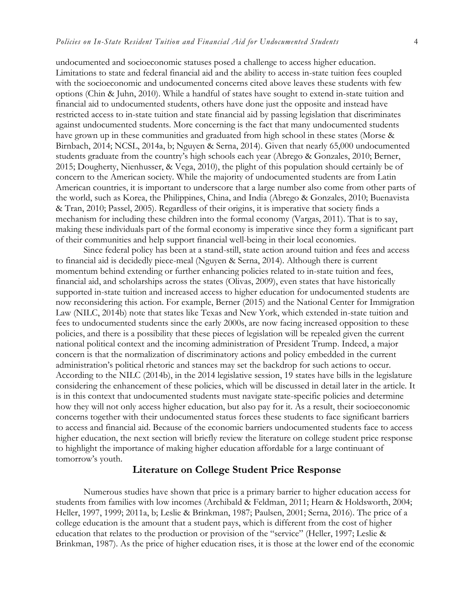undocumented and socioeconomic statuses posed a challenge to access higher education. Limitations to state and federal financial aid and the ability to access in-state tuition fees coupled with the socioeconomic and undocumented concerns cited above leaves these students with few options (Chin & Juhn, 2010). While a handful of states have sought to extend in-state tuition and financial aid to undocumented students, others have done just the opposite and instead have restricted access to in-state tuition and state financial aid by passing legislation that discriminates against undocumented students. More concerning is the fact that many undocumented students have grown up in these communities and graduated from high school in these states (Morse & Birnbach, 2014; NCSL, 2014a, b; Nguyen & Serna, 2014). Given that nearly 65,000 undocumented students graduate from the country's high schools each year (Abrego & Gonzales, 2010; Berner, 2015; Dougherty, Nienhusser, & Vega, 2010), the plight of this population should certainly be of concern to the American society. While the majority of undocumented students are from Latin American countries, it is important to underscore that a large number also come from other parts of the world, such as Korea, the Philippines, China, and India (Abrego & Gonzales, 2010; Buenavista & Tran, 2010; Passel, 2005). Regardless of their origins, it is imperative that society finds a mechanism for including these children into the formal economy (Vargas, 2011). That is to say, making these individuals part of the formal economy is imperative since they form a significant part of their communities and help support financial well-being in their local economies.

Since federal policy has been at a stand-still, state action around tuition and fees and access to financial aid is decidedly piece-meal (Nguyen & Serna, 2014). Although there is current momentum behind extending or further enhancing policies related to in-state tuition and fees, financial aid, and scholarships across the states (Olivas, 2009), even states that have historically supported in-state tuition and increased access to higher education for undocumented students are now reconsidering this action. For example, Berner (2015) and the National Center for Immigration Law (NILC, 2014b) note that states like Texas and New York, which extended in-state tuition and fees to undocumented students since the early 2000s, are now facing increased opposition to these policies, and there is a possibility that these pieces of legislation will be repealed given the current national political context and the incoming administration of President Trump. Indeed, a major concern is that the normalization of discriminatory actions and policy embedded in the current administration's political rhetoric and stances may set the backdrop for such actions to occur. According to the NILC (2014b), in the 2014 legislative session, 19 states have bills in the legislature considering the enhancement of these policies, which will be discussed in detail later in the article. It is in this context that undocumented students must navigate state-specific policies and determine how they will not only access higher education, but also pay for it. As a result, their socioeconomic concerns together with their undocumented status forces these students to face significant barriers to access and financial aid. Because of the economic barriers undocumented students face to access higher education, the next section will briefly review the literature on college student price response to highlight the importance of making higher education affordable for a large continuant of tomorrow's youth.

#### **Literature on College Student Price Response**

Numerous studies have shown that price is a primary barrier to higher education access for students from families with low incomes (Archibald & Feldman, 2011; Hearn & Holdsworth, 2004; Heller, 1997, 1999; 2011a, b; Leslie & Brinkman, 1987; Paulsen, 2001; Serna, 2016). The price of a college education is the amount that a student pays, which is different from the cost of higher education that relates to the production or provision of the "service" (Heller, 1997; Leslie & Brinkman, 1987). As the price of higher education rises, it is those at the lower end of the economic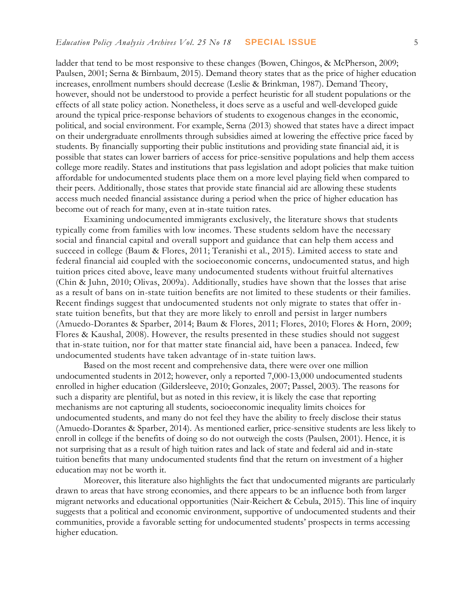ladder that tend to be most responsive to these changes (Bowen, Chingos, & McPherson, 2009; Paulsen, 2001; Serna & Birnbaum, 2015). Demand theory states that as the price of higher education increases, enrollment numbers should decrease (Leslie & Brinkman, 1987). Demand Theory, however, should not be understood to provide a perfect heuristic for all student populations or the effects of all state policy action. Nonetheless, it does serve as a useful and well-developed guide around the typical price-response behaviors of students to exogenous changes in the economic, political, and social environment. For example, Serna (2013) showed that states have a direct impact on their undergraduate enrollments through subsidies aimed at lowering the effective price faced by students. By financially supporting their public institutions and providing state financial aid, it is possible that states can lower barriers of access for price-sensitive populations and help them access college more readily. States and institutions that pass legislation and adopt policies that make tuition affordable for undocumented students place them on a more level playing field when compared to their peers. Additionally, those states that provide state financial aid are allowing these students access much needed financial assistance during a period when the price of higher education has become out of reach for many, even at in-state tuition rates.

Examining undocumented immigrants exclusively, the literature shows that students typically come from families with low incomes. These students seldom have the necessary social and financial capital and overall support and guidance that can help them access and succeed in college (Baum & Flores, 2011; Teranishi et al., 2015). Limited access to state and federal financial aid coupled with the socioeconomic concerns, undocumented status, and high tuition prices cited above, leave many undocumented students without fruitful alternatives (Chin & Juhn, 2010; Olivas, 2009a). Additionally, studies have shown that the losses that arise as a result of bans on in-state tuition benefits are not limited to these students or their families. Recent findings suggest that undocumented students not only migrate to states that offer instate tuition benefits, but that they are more likely to enroll and persist in larger numbers (Amuedo-Dorantes & Sparber, 2014; Baum & Flores, 2011; Flores, 2010; Flores & Horn, 2009; Flores & Kaushal, 2008). However, the results presented in these studies should not suggest that in-state tuition, nor for that matter state financial aid, have been a panacea. Indeed, few undocumented students have taken advantage of in-state tuition laws.

Based on the most recent and comprehensive data, there were over one million undocumented students in 2012; however, only a reported 7,000-13,000 undocumented students enrolled in higher education (Gildersleeve, 2010; Gonzales, 2007; Passel, 2003). The reasons for such a disparity are plentiful, but as noted in this review, it is likely the case that reporting mechanisms are not capturing all students, socioeconomic inequality limits choices for undocumented students, and many do not feel they have the ability to freely disclose their status (Amuedo-Dorantes & Sparber, 2014). As mentioned earlier, price-sensitive students are less likely to enroll in college if the benefits of doing so do not outweigh the costs (Paulsen, 2001). Hence, it is not surprising that as a result of high tuition rates and lack of state and federal aid and in-state tuition benefits that many undocumented students find that the return on investment of a higher education may not be worth it.

Moreover, this literature also highlights the fact that undocumented migrants are particularly drawn to areas that have strong economies, and there appears to be an influence both from larger migrant networks and educational opportunities (Nair-Reichert & Cebula, 2015). This line of inquiry suggests that a political and economic environment, supportive of undocumented students and their communities, provide a favorable setting for undocumented students' prospects in terms accessing higher education.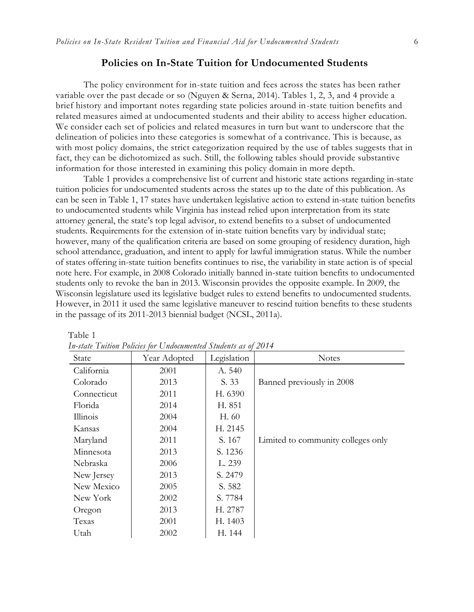## **Policies on In-State Tuition for Undocumented Students**

The policy environment for in-state tuition and fees across the states has been rather variable over the past decade or so (Nguyen & Serna, 2014). Tables 1, 2, 3, and 4 provide a brief history and important notes regarding state policies around in-state tuition benefits and related measures aimed at undocumented students and their ability to access higher education. We consider each set of policies and related measures in turn but want to underscore that the delineation of policies into these categories is somewhat of a contrivance. This is because, as with most policy domains, the strict categorization required by the use of tables suggests that in fact, they can be dichotomized as such. Still, the following tables should provide substantive information for those interested in examining this policy domain in more depth.

Table 1 provides a comprehensive list of current and historic state actions regarding in-state tuition policies for undocumented students across the states up to the date of this publication. As can be seen in Table 1, 17 states have undertaken legislative action to extend in-state tuition benefits to undocumented students while Virginia has instead relied upon interpretation from its state attorney general, the state's top legal advisor, to extend benefits to a subset of undocumented students. Requirements for the extension of in-state tuition benefits vary by individual state; however, many of the qualification criteria are based on some grouping of residency duration, high school attendance, graduation, and intent to apply for lawful immigration status. While the number of states offering in-state tuition benefits continues to rise, the variability in state action is of special note here. For example, in 2008 Colorado initially banned in-state tuition benefits to undocumented students only to revoke the ban in 2013. Wisconsin provides the opposite example. In 2009, the Wisconsin legislature used its legislative budget rules to extend benefits to undocumented students. However, in 2011 it used the same legislative maneuver to rescind tuition benefits to these students in the passage of its 2011-2013 biennial budget (NCSL, 2011a).

| $\mu$ state I millon I shows for Chastelmonical Stratenes as $\sigma$ |              |             |                                    |  |  |
|-----------------------------------------------------------------------|--------------|-------------|------------------------------------|--|--|
| State                                                                 | Year Adopted | Legislation | <b>Notes</b>                       |  |  |
| California                                                            | 2001         | A. 540      |                                    |  |  |
| Colorado                                                              | 2013         | S. 33       | Banned previously in 2008          |  |  |
| Connecticut                                                           | 2011         | H. 6390     |                                    |  |  |
| Florida                                                               | 2014         | H. 851      |                                    |  |  |
| Illinois                                                              | 2004         | H. 60       |                                    |  |  |
| Kansas                                                                | 2004         | H. 2145     |                                    |  |  |
| Maryland                                                              | 2011         | S. 167      | Limited to community colleges only |  |  |
| Minnesota                                                             | 2013         | S. 1236     |                                    |  |  |
| Nebraska                                                              | 2006         | L. 239      |                                    |  |  |
| New Jersey                                                            | 2013         | S. 2479     |                                    |  |  |
| New Mexico                                                            | 2005         | S. 582      |                                    |  |  |
| New York                                                              | 2002         | S. 7784     |                                    |  |  |
| Oregon                                                                | 2013         | H. 2787     |                                    |  |  |
| Texas                                                                 | 2001         | H. 1403     |                                    |  |  |
| Utah                                                                  | 2002         | H. 144      |                                    |  |  |

 Table 1 *In-state Tuition Policies for Undocumented Students as of 2014*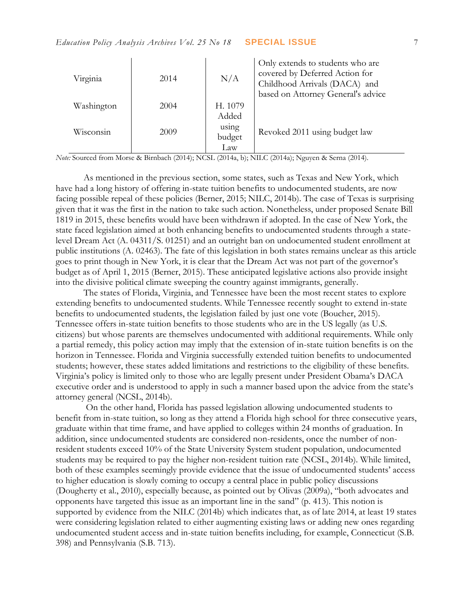| Virginia   | 2014 | N/A     | Only extends to students who are<br>covered by Deferred Action for<br>Childhood Arrivals (DACA) and<br>based on Attorney General's advice |
|------------|------|---------|-------------------------------------------------------------------------------------------------------------------------------------------|
| Washington | 2004 | H. 1079 |                                                                                                                                           |
|            |      | Added   |                                                                                                                                           |
| Wisconsin  | 2009 | using   | Revoked 2011 using budget law                                                                                                             |
|            |      | budget  |                                                                                                                                           |
|            |      | Law     |                                                                                                                                           |

*Note:* Sourced from Morse & Birnbach (2014); NCSL (2014a, b); NILC (2014a); Nguyen & Serna (2014).

As mentioned in the previous section, some states, such as Texas and New York, which have had a long history of offering in-state tuition benefits to undocumented students, are now facing possible repeal of these policies (Berner, 2015; NILC, 2014b). The case of Texas is surprising given that it was the first in the nation to take such action. Nonetheless, under proposed Senate Bill 1819 in 2015, these benefits would have been withdrawn if adopted. In the case of New York, the state faced legislation aimed at both enhancing benefits to undocumented students through a statelevel Dream Act (A. 04311/S. 01251) and an outright ban on undocumented student enrollment at public institutions (A. 02463). The fate of this legislation in both states remains unclear as this article goes to print though in New York, it is clear that the Dream Act was not part of the governor's budget as of April 1, 2015 (Berner, 2015). These anticipated legislative actions also provide insight into the divisive political climate sweeping the country against immigrants, generally.

The states of Florida, Virginia, and Tennessee have been the most recent states to explore extending benefits to undocumented students. While Tennessee recently sought to extend in-state benefits to undocumented students, the legislation failed by just one vote (Boucher, 2015). Tennessee offers in-state tuition benefits to those students who are in the US legally (as U.S. citizens) but whose parents are themselves undocumented with additional requirements. While only a partial remedy, this policy action may imply that the extension of in-state tuition benefits is on the horizon in Tennessee. Florida and Virginia successfully extended tuition benefits to undocumented students; however, these states added limitations and restrictions to the eligibility of these benefits. Virginia's policy is limited only to those who are legally present under President Obama's DACA executive order and is understood to apply in such a manner based upon the advice from the state's attorney general (NCSL, 2014b).

On the other hand, Florida has passed legislation allowing undocumented students to benefit from in-state tuition, so long as they attend a Florida high school for three consecutive years, graduate within that time frame, and have applied to colleges within 24 months of graduation. In addition, since undocumented students are considered non-residents, once the number of nonresident students exceed 10% of the State University System student population, undocumented students may be required to pay the higher non-resident tuition rate (NCSL, 2014b). While limited, both of these examples seemingly provide evidence that the issue of undocumented students' access to higher education is slowly coming to occupy a central place in public policy discussions (Dougherty et al., 2010), especially because, as pointed out by Olivas (2009a), "both advocates and opponents have targeted this issue as an important line in the sand" (p. 413). This notion is supported by evidence from the NILC (2014b) which indicates that, as of late 2014, at least 19 states were considering legislation related to either augmenting existing laws or adding new ones regarding undocumented student access and in-state tuition benefits including, for example, Connecticut (S.B. 398) and Pennsylvania (S.B. 713).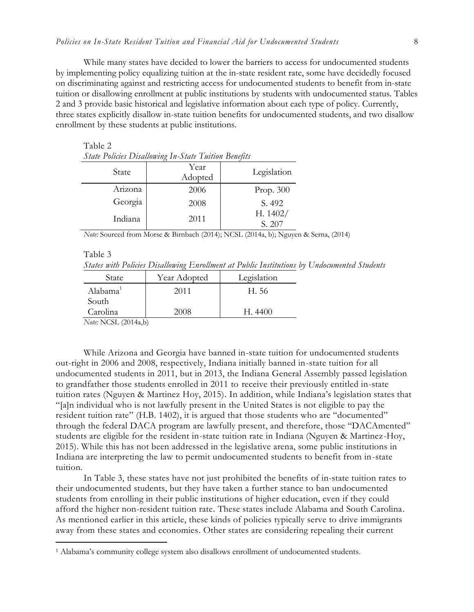While many states have decided to lower the barriers to access for undocumented students by implementing policy equalizing tuition at the in-state resident rate, some have decidedly focused on discriminating against and restricting access for undocumented students to benefit from in-state tuition or disallowing enrollment at public institutions by students with undocumented status. Tables 2 and 3 provide basic historical and legislative information about each type of policy. Currently, three states explicitly disallow in-state tuition benefits for undocumented students, and two disallow enrollment by these students at public institutions.

| <b>State Policies Disallowing In-State Tuition Benefits</b> |                 |                      |  |  |  |
|-------------------------------------------------------------|-----------------|----------------------|--|--|--|
| State                                                       | Year<br>Adopted | Legislation          |  |  |  |
| Arizona                                                     | 2006            | Prop. $300$          |  |  |  |
| Georgia                                                     | 2008            | S. 492               |  |  |  |
| Indiana                                                     | 2011            | H. $1402/$<br>S. 207 |  |  |  |

*Note:* Sourced from Morse & Birnbach (2014); NCSL (2014a, b); Nguyen & Serna, (2014)

|  | aple |  |
|--|------|--|
|  |      |  |

 $\overline{a}$ 

Table 2

*States with Policies Disallowing Enrollment at Public Institutions by Undocumented Students*

| State                         | Year Adopted | Legislation |
|-------------------------------|--------------|-------------|
| Alabama <sup>1</sup>          | 2011         | H. 56       |
| South                         |              |             |
| Carolina                      | 2008         | H.4400      |
| <b>AT ALCOT</b><br>$\sqrt{2}$ |              |             |

*Note:* NCSL (2014a,b)

While Arizona and Georgia have banned in-state tuition for undocumented students out-right in 2006 and 2008, respectively, Indiana initially banned in-state tuition for all undocumented students in 2011, but in 2013, the Indiana General Assembly passed legislation to grandfather those students enrolled in 2011 to receive their previously entitled in-state tuition rates (Nguyen & Martinez Hoy, 2015). In addition, while Indiana's legislation states that "[a]n individual who is not lawfully present in the United States is not eligible to pay the resident tuition rate" (H.B. 1402), it is argued that those students who are "documented" through the federal DACA program are lawfully present, and therefore, those "DACAmented" students are eligible for the resident in-state tuition rate in Indiana (Nguyen & Martinez-Hoy, 2015). While this has not been addressed in the legislative arena, some public institutions in Indiana are interpreting the law to permit undocumented students to benefit from in-state tuition.

In Table 3, these states have not just prohibited the benefits of in-state tuition rates to their undocumented students, but they have taken a further stance to ban undocumented students from enrolling in their public institutions of higher education, even if they could afford the higher non-resident tuition rate. These states include Alabama and South Carolina. As mentioned earlier in this article, these kinds of policies typically serve to drive immigrants away from these states and economies. Other states are considering repealing their current

<sup>1</sup> Alabama's community college system also disallows enrollment of undocumented students.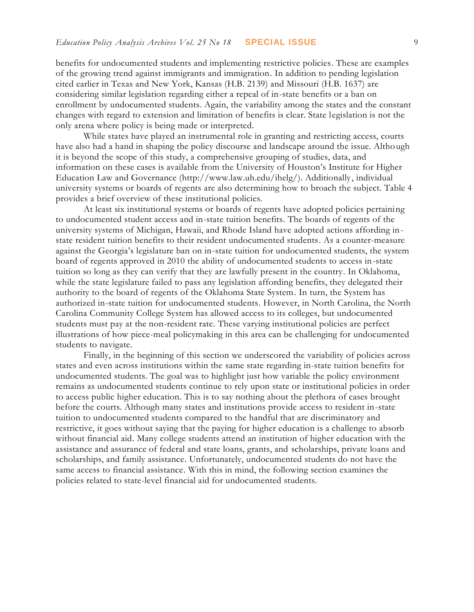benefits for undocumented students and implementing restrictive policies. These are examples of the growing trend against immigrants and immigration. In addition to pending legislation cited earlier in Texas and New York, Kansas (H.B. 2139) and Missouri (H.B. 1637) are considering similar legislation regarding either a repeal of in-state benefits or a ban on enrollment by undocumented students. Again, the variability among the states and the constant changes with regard to extension and limitation of benefits is clear. State legislation is not the only arena where policy is being made or interpreted.

While states have played an instrumental role in granting and restricting access, courts have also had a hand in shaping the policy discourse and landscape around the issue. Although it is beyond the scope of this study, a comprehensive grouping of studies, data, and information on these cases is available from the University of Houston's Institute for Higher Education Law and Governance (http://www.law.uh.edu/ihelg/). Additionally, individual university systems or boards of regents are also determining how to broach the subject. Table 4 provides a brief overview of these institutional policies.

At least six institutional systems or boards of regents have adopted policies pertaining to undocumented student access and in-state tuition benefits. The boards of regents of the university systems of Michigan, Hawaii, and Rhode Island have adopted actions affording instate resident tuition benefits to their resident undocumented students. As a counter-measure against the Georgia's legislature ban on in-state tuition for undocumented students, the system board of regents approved in 2010 the ability of undocumented students to access in-state tuition so long as they can verify that they are lawfully present in the country. In Oklahoma, while the state legislature failed to pass any legislation affording benefits, they delegated their authority to the board of regents of the Oklahoma State System. In turn, the System has authorized in-state tuition for undocumented students. However, in North Carolina, the North Carolina Community College System has allowed access to its colleges, but undocumented students must pay at the non-resident rate. These varying institutional policies are perfect illustrations of how piece-meal policymaking in this area can be challenging for undocumented students to navigate.

Finally, in the beginning of this section we underscored the variability of policies across states and even across institutions within the same state regarding in-state tuition benefits for undocumented students. The goal was to highlight just how variable the policy environment remains as undocumented students continue to rely upon state or institutional policies in order to access public higher education. This is to say nothing about the plethora of cases brought before the courts. Although many states and institutions provide access to resident in-state tuition to undocumented students compared to the handful that are discriminatory and restrictive, it goes without saying that the paying for higher education is a challenge to absorb without financial aid. Many college students attend an institution of higher education with the assistance and assurance of federal and state loans, grants, and scholarships, private loans and scholarships, and family assistance. Unfortunately, undocumented students do not have the same access to financial assistance. With this in mind, the following section examines the policies related to state-level financial aid for undocumented students.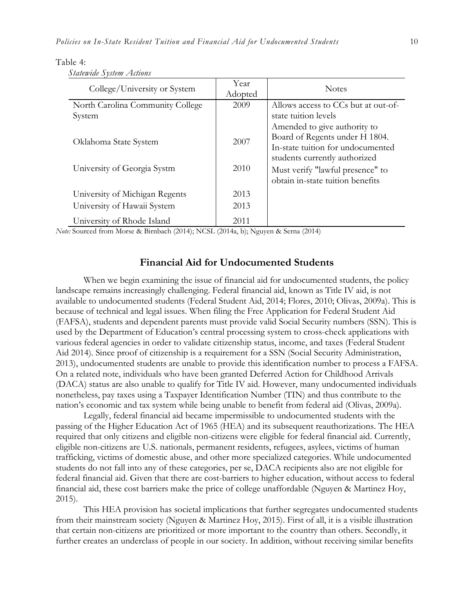| College/University or System                                                                      | Year<br>Adopted | <b>Notes</b>                                                         |
|---------------------------------------------------------------------------------------------------|-----------------|----------------------------------------------------------------------|
| North Carolina Community College                                                                  | 2009            | Allows access to CCs but at out-of-                                  |
| System                                                                                            |                 | state tuition levels                                                 |
|                                                                                                   |                 | Amended to give authority to<br>Board of Regents under H 1804.       |
| Oklahoma State System                                                                             | 2007            | In-state tuition for undocumented                                    |
|                                                                                                   |                 | students currently authorized                                        |
| University of Georgia Systm                                                                       | 2010            | Must verify "lawful presence" to<br>obtain in-state tuition benefits |
| University of Michigan Regents                                                                    | 2013            |                                                                      |
| University of Hawaii System                                                                       | 2013            |                                                                      |
| University of Rhode Island<br>$\sim$ D <sup>+</sup> 1 $\sim$ 1 $\sim$ 2004 4) 2.100 $\sim$ 2004 4 | 2011            |                                                                      |

#### Table 4:

| Statewide System Actions |  |
|--------------------------|--|
|                          |  |

*Note:* Sourced from Morse & Birnbach (2014); NCSL (2014a, b); Nguyen & Serna (2014)

### **Financial Aid for Undocumented Students**

When we begin examining the issue of financial aid for undocumented students, the policy landscape remains increasingly challenging. Federal financial aid, known as Title IV aid, is not available to undocumented students (Federal Student Aid, 2014; Flores, 2010; Olivas, 2009a). This is because of technical and legal issues. When filing the Free Application for Federal Student Aid (FAFSA), students and dependent parents must provide valid Social Security numbers (SSN). This is used by the Department of Education's central processing system to cross-check applications with various federal agencies in order to validate citizenship status, income, and taxes (Federal Student Aid 2014). Since proof of citizenship is a requirement for a SSN (Social Security Administration, 2013), undocumented students are unable to provide this identification number to process a FAFSA. On a related note, individuals who have been granted Deferred Action for Childhood Arrivals (DACA) status are also unable to qualify for Title IV aid. However, many undocumented individuals nonetheless, pay taxes using a Taxpayer Identification Number (TIN) and thus contribute to the nation's economic and tax system while being unable to benefit from federal aid (Olivas, 2009a).

Legally, federal financial aid became impermissible to undocumented students with the passing of the Higher Education Act of 1965 (HEA) and its subsequent reauthorizations. The HEA required that only citizens and eligible non-citizens were eligible for federal financial aid. Currently, eligible non-citizens are U.S. nationals, permanent residents, refugees, asylees, victims of human trafficking, victims of domestic abuse, and other more specialized categories. While undocumented students do not fall into any of these categories, per se, DACA recipients also are not eligible for federal financial aid. Given that there are cost-barriers to higher education, without access to federal financial aid, these cost barriers make the price of college unaffordable (Nguyen & Martinez Hoy, 2015).

This HEA provision has societal implications that further segregates undocumented students from their mainstream society (Nguyen & Martinez Hoy, 2015). First of all, it is a visible illustration that certain non-citizens are prioritized or more important to the country than others. Secondly, it further creates an underclass of people in our society. In addition, without receiving similar benefits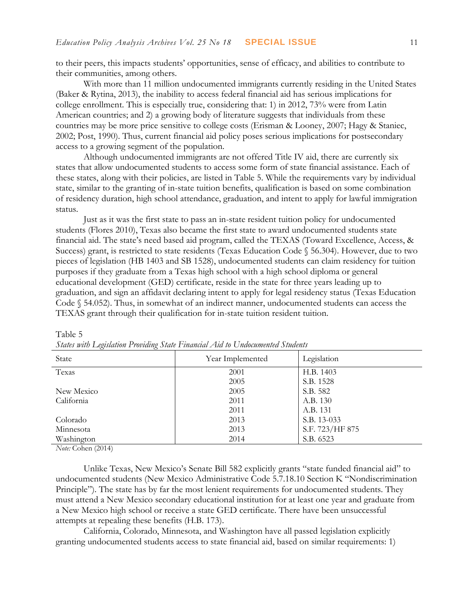to their peers, this impacts students' opportunities, sense of efficacy, and abilities to contribute to their communities, among others.

With more than 11 million undocumented immigrants currently residing in the United States (Baker & Rytina, 2013), the inability to access federal financial aid has serious implications for college enrollment. This is especially true, considering that: 1) in 2012, 73% were from Latin American countries; and 2) a growing body of literature suggests that individuals from these countries may be more price sensitive to college costs (Erisman & Looney, 2007; Hagy & Staniec, 2002; Post, 1990). Thus, current financial aid policy poses serious implications for postsecondary access to a growing segment of the population.

Although undocumented immigrants are not offered Title IV aid, there are currently six states that allow undocumented students to access some form of state financial assistance. Each of these states, along with their policies, are listed in Table 5. While the requirements vary by individual state, similar to the granting of in-state tuition benefits, qualification is based on some combination of residency duration, high school attendance, graduation, and intent to apply for lawful immigration status.

Just as it was the first state to pass an in-state resident tuition policy for undocumented students (Flores 2010), Texas also became the first state to award undocumented students state financial aid. The state's need based aid program, called the TEXAS (Toward Excellence, Access, & Success) grant, is restricted to state residents (Texas Education Code § 56.304). However, due to two pieces of legislation (HB 1403 and SB 1528), undocumented students can claim residency for tuition purposes if they graduate from a Texas high school with a high school diploma or general educational development (GED) certificate, reside in the state for three years leading up to graduation, and sign an affidavit declaring intent to apply for legal residency status (Texas Education Code § 54.052). Thus, in somewhat of an indirect manner, undocumented students can access the TEXAS grant through their qualification for in-state tuition resident tuition.

| State      | Year Implemented | Legislation     |
|------------|------------------|-----------------|
| Texas      | 2001             | H.B. 1403       |
|            | 2005             | S.B. 1528       |
| New Mexico | 2005             | S.B. 582        |
| California | 2011             | A.B. 130        |
|            | 2011             | A.B. 131        |
| Colorado   | 2013             | S.B. 13-033     |
| Minnesota  | 2013             | S.F. 723/HF 875 |
| Washington | 2014             | S.B. 6523       |

| ----------                                                                     |  |  |
|--------------------------------------------------------------------------------|--|--|
| States with Legislation Providing State Financial Aid to Undocumented Students |  |  |

*Note:* Cohen (2014)

Table 5

Unlike Texas, New Mexico's Senate Bill 582 explicitly grants "state funded financial aid" to undocumented students (New Mexico Administrative Code 5.7.18.10 Section K "Nondiscrimination Principle"). The state has by far the most lenient requirements for undocumented students. They must attend a New Mexico secondary educational institution for at least one year and graduate from a New Mexico high school or receive a state GED certificate. There have been unsuccessful attempts at repealing these benefits (H.B. 173).

California, Colorado, Minnesota, and Washington have all passed legislation explicitly granting undocumented students access to state financial aid, based on similar requirements: 1)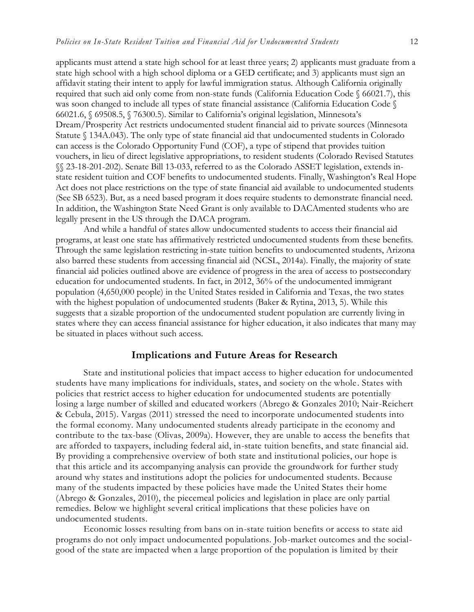applicants must attend a state high school for at least three years; 2) applicants must graduate from a state high school with a high school diploma or a GED certificate; and 3) applicants must sign an affidavit stating their intent to apply for lawful immigration status. Although California originally required that such aid only come from non-state funds (California Education Code § 66021.7), this was soon changed to include all types of state financial assistance (California Education Code § 66021.6, § 69508.5, § 76300.5). Similar to California's original legislation, Minnesota's Dream/Prosperity Act restricts undocumented student financial aid to private sources (Minnesota Statute § 134A.043). The only type of state financial aid that undocumented students in Colorado can access is the Colorado Opportunity Fund (COF), a type of stipend that provides tuition vouchers, in lieu of direct legislative appropriations, to resident students (Colorado Revised Statutes §§ 23-18-201-202). Senate Bill 13-033, referred to as the Colorado ASSET legislation, extends instate resident tuition and COF benefits to undocumented students. Finally, Washington's Real Hope Act does not place restrictions on the type of state financial aid available to undocumented students (See SB 6523). But, as a need based program it does require students to demonstrate financial need. In addition, the Washington State Need Grant is only available to DACAmented students who are legally present in the US through the DACA program.

And while a handful of states allow undocumented students to access their financial aid programs, at least one state has affirmatively restricted undocumented students from these benefits. Through the same legislation restricting in-state tuition benefits to undocumented students, Arizona also barred these students from accessing financial aid (NCSL, 2014a). Finally, the majority of state financial aid policies outlined above are evidence of progress in the area of access to postsecondary education for undocumented students. In fact, in 2012, 36% of the undocumented immigrant population (4,650,000 people) in the United States resided in California and Texas, the two states with the highest population of undocumented students (Baker & Rytina, 2013, 5). While this suggests that a sizable proportion of the undocumented student population are currently living in states where they can access financial assistance for higher education, it also indicates that many may be situated in places without such access.

## **Implications and Future Areas for Research**

State and institutional policies that impact access to higher education for undocumented students have many implications for individuals, states, and society on the whole. States with policies that restrict access to higher education for undocumented students are potentially losing a large number of skilled and educated workers (Abrego & Gonzales 2010; Nair-Reichert & Cebula, 2015). Vargas (2011) stressed the need to incorporate undocumented students into the formal economy. Many undocumented students already participate in the economy and contribute to the tax-base (Olivas, 2009a). However, they are unable to access the benefits that are afforded to taxpayers, including federal aid, in-state tuition benefits, and state financial aid. By providing a comprehensive overview of both state and institutional policies, our hope is that this article and its accompanying analysis can provide the groundwork for further study around why states and institutions adopt the policies for undocumented students. Because many of the students impacted by these policies have made the United States their home (Abrego & Gonzales, 2010), the piecemeal policies and legislation in place are only partial remedies. Below we highlight several critical implications that these policies have on undocumented students.

Economic losses resulting from bans on in-state tuition benefits or access to state aid programs do not only impact undocumented populations. Job-market outcomes and the socialgood of the state are impacted when a large proportion of the population is limited by their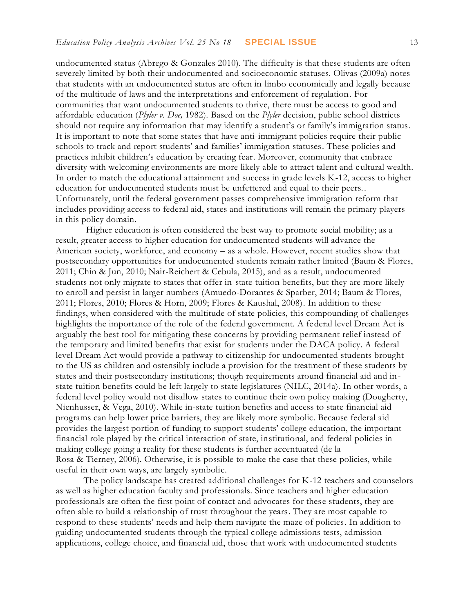undocumented status (Abrego & Gonzales 2010). The difficulty is that these students are often severely limited by both their undocumented and socioeconomic statuses. Olivas (2009a) notes that students with an undocumented status are often in limbo economically and legally because of the multitude of laws and the interpretations and enforcement of regulation. For communities that want undocumented students to thrive, there must be access to good and affordable education (*Plyler v. Doe,* 1982). Based on the *Plyler* decision, public school districts should not require any information that may identify a student's or family's immigration status. It is important to note that some states that have anti-immigrant policies require their public schools to track and report students' and families' immigration statuses. These policies and practices inhibit children's education by creating fear. Moreover, community that embrace diversity with welcoming environments are more likely able to attract talent and cultural wealth. In order to match the educational attainment and success in grade levels K-12, access to higher education for undocumented students must be unfettered and equal to their peers.. Unfortunately, until the federal government passes comprehensive immigration reform that includes providing access to federal aid, states and institutions will remain the primary players in this policy domain.

Higher education is often considered the best way to promote social mobility; as a result, greater access to higher education for undocumented students will advance the American society, workforce, and economy – as a whole. However, recent studies show that postsecondary opportunities for undocumented students remain rather limited (Baum & Flores, 2011; Chin & Jun, 2010; Nair-Reichert & Cebula, 2015), and as a result, undocumented students not only migrate to states that offer in-state tuition benefits, but they are more likely to enroll and persist in larger numbers (Amuedo-Dorantes & Sparber, 2014; Baum & Flores, 2011; Flores, 2010; Flores & Horn, 2009; Flores & Kaushal, 2008). In addition to these findings, when considered with the multitude of state policies, this compounding of challenges highlights the importance of the role of the federal government. A federal level Dream Act is arguably the best tool for mitigating these concerns by providing permanent relief instead of the temporary and limited benefits that exist for students under the DACA policy. A federal level Dream Act would provide a pathway to citizenship for undocumented students brought to the US as children and ostensibly include a provision for the treatment of these students by states and their postsecondary institutions; though requirements around financial aid and instate tuition benefits could be left largely to state legislatures (NILC, 2014a). In other words, a federal level policy would not disallow states to continue their own policy making (Dougherty, Nienhusser, & Vega, 2010). While in-state tuition benefits and access to state financial aid programs can help lower price barriers, they are likely more symbolic. Because federal aid provides the largest portion of funding to support students' college education, the important financial role played by the critical interaction of state, institutional, and federal policies in making college going a reality for these students is further accentuated (de la Rosa & Tierney, 2006). Otherwise, it is possible to make the case that these policies, while useful in their own ways, are largely symbolic.

The policy landscape has created additional challenges for K-12 teachers and counselors as well as higher education faculty and professionals. Since teachers and higher education professionals are often the first point of contact and advocates for these students, they are often able to build a relationship of trust throughout the years. They are most capable to respond to these students' needs and help them navigate the maze of policies. In addition to guiding undocumented students through the typical college admissions tests, admission applications, college choice, and financial aid, those that work with undocumented students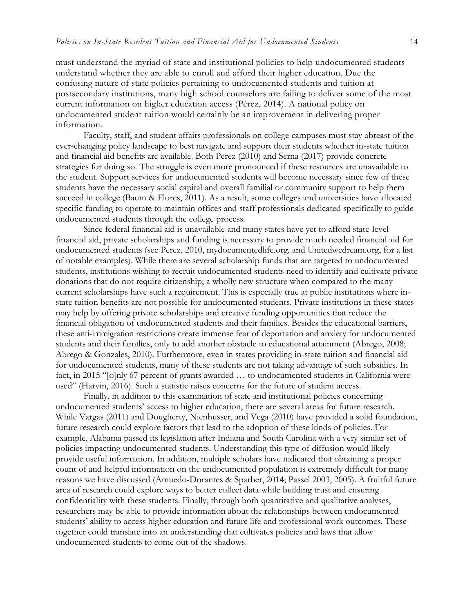must understand the myriad of state and institutional policies to help undocumented students understand whether they are able to enroll and afford their higher education. Due the confusing nature of state policies pertaining to undocumented students and tuition at postsecondary institutions, many high school counselors are failing to deliver some of the most current information on higher education access (Pérez, 2014). A national policy on undocumented student tuition would certainly be an improvement in delivering proper information.

Faculty, staff, and student affairs professionals on college campuses must stay abreast of the ever-changing policy landscape to best navigate and support their students whether in-state tuition and financial aid benefits are available. Both Perez (2010) and Serna (2017) provide concrete strategies for doing so. The struggle is even more pronounced if these resources are unavailable to the student. Support services for undocumented students will become necessary since few of these students have the necessary social capital and overall familial or community support to help them succeed in college (Baum & Flores, 2011). As a result, some colleges and universities have allocated specific funding to operate to maintain offices and staff professionals dedicated specifically to guide undocumented students through the college process.

Since federal financial aid is unavailable and many states have yet to afford state-level financial aid, private scholarships and funding is necessary to provide much needed financial aid for undocumented students (see Perez, 2010, mydocumentedlife.org, and Unitedwedream.org, for a list of notable examples). While there are several scholarship funds that are targeted to undocumented students, institutions wishing to recruit undocumented students need to identify and cultivate private donations that do not require citizenship; a wholly new structure when compared to the many current scholarships have such a requirement. This is especially true at public institutions where instate tuition benefits are not possible for undocumented students. Private institutions in these states may help by offering private scholarships and creative funding opportunities that reduce the financial obligation of undocumented students and their families. Besides the educational barriers, these anti-immigration restrictions create immense fear of deportation and anxiety for undocumented students and their families, only to add another obstacle to educational attainment (Abrego, 2008; Abrego & Gonzales, 2010). Furthermore, even in states providing in-state tuition and financial aid for undocumented students, many of these students are not taking advantage of such subsidies. In fact, in 2015 "[o]nly 67 percent of grants awarded … to undocumented students in California were used" (Harvin, 2016). Such a statistic raises concerns for the future of student access.

Finally, in addition to this examination of state and institutional policies concerning undocumented students' access to higher education, there are several areas for future research. While Vargas (2011) and Dougherty, Nienhusser, and Vega (2010) have provided a solid foundation, future research could explore factors that lead to the adoption of these kinds of policies. For example, Alabama passed its legislation after Indiana and South Carolina with a very similar set of policies impacting undocumented students. Understanding this type of diffusion would likely provide useful information. In addition, multiple scholars have indicated that obtaining a proper count of and helpful information on the undocumented population is extremely difficult for many reasons we have discussed (Amuedo-Dorantes & Sparber, 2014; Passel 2003, 2005). A fruitful future area of research could explore ways to better collect data while building trust and ensuring confidentiality with these students. Finally, through both quantitative and qualitative analyses, researchers may be able to provide information about the relationships between undocumented students' ability to access higher education and future life and professional work outcomes. These together could translate into an understanding that cultivates policies and laws that allow undocumented students to come out of the shadows.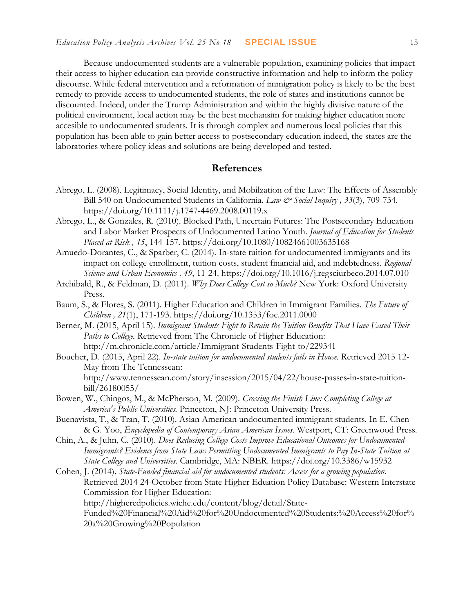Because undocumented students are a vulnerable population, examining policies that impact their access to higher education can provide constructive information and help to inform the policy discourse. While federal intervention and a reformation of immigration policy is likely to be the best remedy to provide access to undocumented students, the role of states and institutions cannot be discounted. Indeed, under the Trump Administration and within the highly divisive nature of the political environment, local action may be the best mechansim for making higher education more accesible to undocumented students. It is through complex and numerous local policies that this population has been able to gain better access to postsecondary education indeed, the states are the laboratories where policy ideas and solutions are being developed and tested.

#### **References**

- Abrego, L. (2008). Legitimacy, Social Identity, and Mobilzation of the Law: The Effects of Assembly Bill 540 on Undocumented Students in California. *Law & Social Inquiry , 33*(3), 709-734. <https://doi.org/10.1111/j.1747-4469.2008.00119.x>
- Abrego, L., & Gonzales, R. (2010). Blocked Path, Uncertain Futures: The Postsecondary Education and Labor Market Prospects of Undocumented Latino Youth. *Journal of Education for Students Placed at Risk , 15*, 144-157. <https://doi.org/10.1080/10824661003635168>
- Amuedo-Dorantes, C., & Sparber, C. (2014). In-state tuition for undocumented immigrants and its impact on college enrollment, tuition costs, student financial aid, and indebtedness. *Regional Science and Urban Economics , 49*, 11-24. <https://doi.org/10.1016/j.regsciurbeco.2014.07.010>
- Archibald, R., & Feldman, D. (2011). *Why Does College Cost so Much?* New York: Oxford University Press.
- Baum, S., & Flores, S. (2011). Higher Education and Children in Immigrant Families. *The Future of Children , 21*(1), 171-193. <https://doi.org/10.1353/foc.2011.0000>
- Berner, M. (2015, April 15). *Immigrant Students Fight to Retain the Tuition Benefits That Have Eased Their Paths to College.* Retrieved from The Chronicle of Higher Education: http://m.chronicle.com/article/Immigrant-Students-Fight-to/229341
- Boucher, D. (2015, April 22). *In-state tuition for undocumented students fails in House.* Retrieved 2015 12- May from The Tennessean: http://www.tennessean.com/story/insession/2015/04/22/house-passes-in-state-tuitionbill/26180055/
- Bowen, W., Chingos, M., & McPherson, M. (2009). *Crossing the Finish Line: Completing College at America's Public Universities.* Princeton, NJ: Princeton University Press.
- Buenavista, T., & Tran, T. (2010). Asian American undocumented immigrant students. In E. Chen & G. Yoo, *Encyclopedia of Contemporary Asian American Issues.* Westport, CT: Greenwood Press.
- Chin, A., & Juhn, C. (2010). *Does Reducing College Costs Improve Educational Outcomes for Undocumented Immigrants? Evidence from State Laws Permitting Undocumented Immigrants to Pay In-State Tuition at State College and Universities.* Cambridge, MA: NBER. <https://doi.org/10.3386/w15932>
- Cohen, J. (2014). *State-Funded financial aid for undocumented students: Access for a growing population.* Retrieved 2014 24-October from State Higher Eduation Policy Database: Western Interstate Commission for Higher Education: http://higheredpolicies.wiche.edu/content/blog/detail/State-

Funded%20Financial%20Aid%20for%20Undocumented%20Students:%20Access%20for% 20a%20Growing%20Population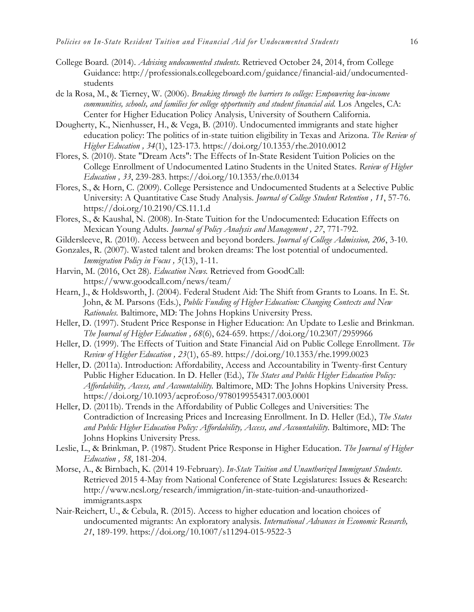- College Board. (2014). *Advising undocumented students.* Retrieved October 24, 2014, from College Guidance: http://professionals.collegeboard.com/guidance/financial-aid/undocumentedstudents
- de la Rosa, M., & Tierney, W. (2006). *Breaking through the barriers to college: Empowering low-income communities, schools, and families for college opportunity and student financial aid.* Los Angeles, CA: Center for Higher Education Policy Analysis, University of Southern California.
- Dougherty, K., Nienhusser, H., & Vega, B. (2010). Undocumented immigrants and state higher education policy: The politics of in-state tuition eligibility in Texas and Arizona. *The Review of Higher Education , 34*(1), 123-173. <https://doi.org/10.1353/rhe.2010.0012>
- Flores, S. (2010). State "Dream Acts": The Effects of In-State Resident Tuition Policies on the College Enrollment of Undocumented Latino Students in the United States. *Review of Higher Education , 33*, 239-283. <https://doi.org/10.1353/rhe.0.0134>
- Flores, S., & Horn, C. (2009). College Persistence and Undocumented Students at a Selective Public University: A Quantitative Case Study Analysis. *Journal of College Student Retention , 11*, 57-76. <https://doi.org/10.2190/CS.11.1.d>
- Flores, S., & Kaushal, N. (2008). In-State Tuition for the Undocumented: Education Effects on Mexican Young Adults. *Journal of Policy Analysis and Management , 27*, 771-792.
- Gildersleeve, R. (2010). Access between and beyond borders. *Journal of College Admission, 206*, 3-10.
- Gonzales, R. (2007). Wasted talent and broken dreams: The lost potential of undocumented. *Immigration Policy in Focus , 5*(13), 1-11.
- Harvin, M. (2016, Oct 28). *Education News.* Retrieved from GoodCall: https://www.goodcall.com/news/team/
- Hearn, J., & Holdsworth, J. (2004). Federal Student Aid: The Shift from Grants to Loans. In E. St. John, & M. Parsons (Eds.), *Public Funding of Higher Education: Changing Contexts and New Rationales.* Baltimore, MD: The Johns Hopkins University Press.
- Heller, D. (1997). Student Price Response in Higher Education: An Update to Leslie and Brinkman. *The Journal of Higher Education , 68*(6), 624-659. <https://doi.org/10.2307/2959966>
- Heller, D. (1999). The Effects of Tuition and State Financial Aid on Public College Enrollment. *The Review of Higher Education , 23*(1), 65-89. <https://doi.org/10.1353/rhe.1999.0023>
- Heller, D. (2011a). Introduction: Affordability, Access and Accountability in Twenty-first Century Public Higher Education. In D. Heller (Ed.), *The States and Public Higher Education Policy: Affordability, Access, and Accountability.* Baltimore, MD: The Johns Hopkins University Press. <https://doi.org/10.1093/acprof:oso/9780199554317.003.0001>
- Heller, D. (2011b). Trends in the Affordability of Public Colleges and Universities: The Contradiction of Increasing Prices and Increasing Enrollment. In D. Heller (Ed.), *The States and Public Higher Education Policy: Affordability, Access, and Accountability.* Baltimore, MD: The Johns Hopkins University Press.
- Leslie, L., & Brinkman, P. (1987). Student Price Response in Higher Education. *The Journal of Higher Education , 58*, 181-204.
- Morse, A., & Birnbach, K. (2014 19-February). *In-State Tuition and Unauthorized Immigrant Students*. Retrieved 2015 4-May from National Conference of State Legislatures: Issues & Research: http://www.ncsl.org/research/immigration/in-state-tuition-and-unauthorizedimmigrants.aspx
- Nair-Reichert, U., & Cebula, R. (2015). Access to higher education and location choices of undocumented migrants: An exploratory analysis. *International Advances in Economic Research, 21*, 189-199. <https://doi.org/10.1007/s11294-015-9522-3>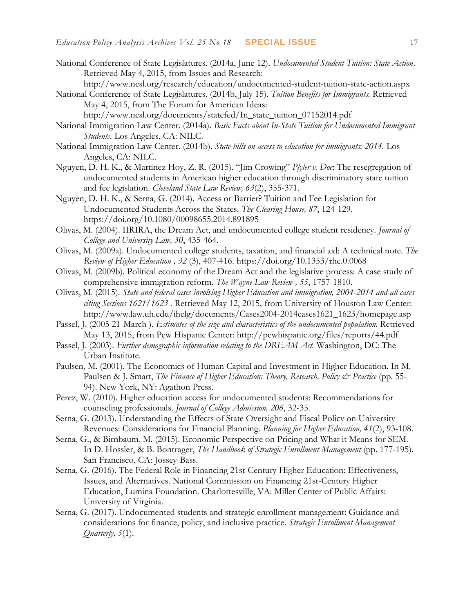- National Conference of State Legislatures. (2014a, June 12). *Undocumented Student Tuition: State Action*. Retrieved May 4, 2015, from Issues and Research:
	- http://www.ncsl.org/research/education/undocumented-student-tuition-state-action.aspx
- National Conference of State Legislatures. (2014b, July 15). *Tuition Benefits for Immigrants.* Retrieved May 4, 2015, from The Forum for American Ideas: http://www.ncsl.org/documents/statefed/In\_state\_tuition\_07152014.pdf
- National Immigration Law Center. (2014a). *Basic Facts about In-State Tuition for Undocumented Immigrant Students.* Los Angeles, CA: NILC.
- National Immigration Law Center. (2014b). *State bills on access to education for immigrants: 2014.* Los Angeles, CA: NILC.
- Nguyen, D. H. K., & Martinez Hoy, Z. R. (2015). "Jim Crowing" *Plyler v. Doe*: The resegregation of undocumented students in American higher education through discriminatory state tuition and fee legislation. *Cleveland State Law Review, 63*(2), 355-371.
- Nguyen, D. H. K., & Serna, G. (2014). Access or Barrier? Tuition and Fee Legislation for Undocumented Students Across the States. *The Clearing House, 87*, 124-129. <https://doi.org/10.1080/00098655.2014.891895>
- Olivas, M. (2004). IIRIRA, the Dream Act, and undocumented college student residency. *Journal of College and University Law, 30*, 435-464.
- Olivas, M. (2009a). Undocumented college students, taxation, and financial aid: A technical note. *The Review of Higher Education , 32* (3), 407-416. <https://doi.org/10.1353/rhe.0.0068>
- Olivas, M. (2009b). Political economy of the Dream Act and the legislative process: A case study of comprehensive immigration reform. *The Wayne Law Review , 55*, 1757-1810.
- Olivas, M. (2015). *State and federal cases involving Higher Education and immigration, 2004-2014 and all cases citing Sections 1621/1623 .* Retrieved May 12, 2015, from University of Houston Law Center: http://www.law.uh.edu/ihelg/documents/Cases2004-2014cases1621\_1623/homepage.asp
- Passel, J. (2005 21-March ). *Estimates of the size and characteristics of the undocumented population.* Retrieved May 13, 2015, from Pew Hispanic Center: http://pewhispanic.org/files/reports/44.pdf
- Passel, J. (2003). *Further demographic information relating to the DREAM Act.* Washington, DC: The Urban Institute.
- Paulsen, M. (2001). The Economics of Human Capital and Investment in Higher Education. In M. Paulsen & J. Smart, *The Finance of Higher Education: Theory*, Research, *Policy & Practice* (pp. 55-94). New York, NY: Agathon Press.
- Perez, W. (2010). Higher education access for undocumented students: Recommendations for counseling professionals. *Journal of College Admission, 206*, 32-35.
- Serna, G. (2013). Understanding the Effects of State Oversight and Fiscal Policy on University Revenues: Considerations for Financial Planning. *Planning for Higher Education, 41*(2), 93-108.
- Serna, G., & Birnbaum, M. (2015). Economic Perspective on Pricing and What it Means for SEM. In D. Hossler, & B. Bontrager, *The Handbook of Strategic Enrollment Management* (pp. 177-195). San Francisco, CA: Jossey-Bass.
- Serna, G. (2016). The Federal Role in Financing 21st-Century Higher Education: Effectiveness, Issues, and Alternatives. National Commission on Financing 21st-Century Higher Education, Lumina Foundation. Charlottesville, VA: Miller Center of Public Affairs: University of Virginia.
- Serna, G. (2017). Undocumented students and strategic enrollment management: Guidance and considerations for finance, policy, and inclusive practice. *Strategic Enrollment Management Quarterly, 5*(1).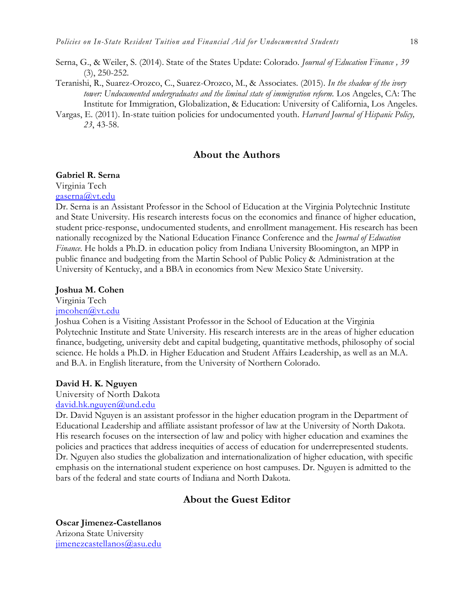- Serna, G., & Weiler, S. (2014). State of the States Update: Colorado. *Journal of Education Finance , 39* (3), 250-252.
- Teranishi, R., Suarez-Orozco, C., Suarez-Orozco, M., & Associates. (2015). *In the shadow of the ivory tower: Undocumented undergraduates and the liminal state of immigration reform.* Los Angeles, CA: The Institute for Immigration, Globalization, & Education: University of California, Los Angeles.
- Vargas, E. (2011). In-state tuition policies for undocumented youth. *Harvard Journal of Hispanic Policy, 23*, 43-58.

## **About the Authors**

#### **Gabriel R. Serna**

Virginia Tech [gaserna@vt.edu](mailto:gaserna@vt.edu)

Dr. Serna is an Assistant Professor in the School of Education at the Virginia Polytechnic Institute and State University. His research interests focus on the economics and finance of higher education, student price-response, undocumented students, and enrollment management. His research has been nationally recognized by the National Education Finance Conference and the *Journal of Education Finance*. He holds a Ph.D. in education policy from Indiana University Bloomington, an MPP in public finance and budgeting from the Martin School of Public Policy & Administration at the University of Kentucky, and a BBA in economics from New Mexico State University.

#### **Joshua M. Cohen**

Virginia Tech

[jmcohen@vt.edu](mailto:gaserna@vt.edu)

Joshua Cohen is a Visiting Assistant Professor in the School of Education at the Virginia Polytechnic Institute and State University. His research interests are in the areas of higher education finance, budgeting, university debt and capital budgeting, quantitative methods, philosophy of social science. He holds a Ph.D. in Higher Education and Student Affairs Leadership, as well as an M.A. and B.A. in English literature, from the University of Northern Colorado.

#### **David H. K. Nguyen**

University of North Dakota [david.hk.nguyen@und.edu](mailto:gaserna@vt.edu)

Dr. David Nguyen is an assistant professor in the higher education program in the Department of Educational Leadership and affiliate assistant professor of law at the University of North Dakota. His research focuses on the intersection of law and policy with higher education and examines the policies and practices that address inequities of access of education for underrepresented students. Dr. Nguyen also studies the globalization and internationalization of higher education, with specific emphasis on the international student experience on host campuses. Dr. Nguyen is admitted to the bars of the federal and state courts of Indiana and North Dakota.

## **About the Guest Editor**

**Oscar Jimenez-Castellanos** Arizona State University [jimenezcastellanos@asu.edu](mailto:jimenezcastellanos@asu.edu)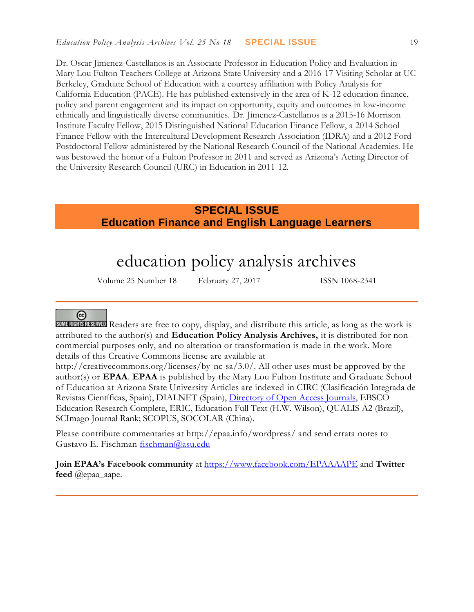Dr. Oscar Jimenez-Castellanos is an Associate Professor in Education Policy and Evaluation in Mary Lou Fulton Teachers College at Arizona State University and a 2016-17 Visiting Scholar at UC Berkeley, Graduate School of Education with a courtesy affiliation with Policy Analysis for California Education (PACE). He has published extensively in the area of K-12 education finance, policy and parent engagement and its impact on opportunity, equity and outcomes in low-income ethnically and linguistically diverse communities. Dr. Jimenez-Castellanos is a 2015-16 Morrison Institute Faculty Fellow, 2015 Distinguished National Education Finance Fellow, a 2014 School Finance Fellow with the Intercultural Development Research Association (IDRA) and a 2012 Ford Postdoctoral Fellow administered by the National Research Council of the National Academies. He was bestowed the honor of a Fulton Professor in 2011 and served as Arizona's Acting Director of the University Research Council (URC) in Education in 2011-12.

# **SPECIAL ISSUE Education Finance and English Language Learners**

# education policy analysis archives

Volume 25 Number 18 February 27, 2017 ISSN 1068-2341

## @

SOME RIGHTS RESERVED Readers are free to copy, display, and distribute this article, as long as the work is attributed to the author(s) and **Education Policy Analysis Archives,** it is distributed for noncommercial purposes only, and no alteration or transformation is made in the work. More details of this Creative Commons license are available at

http://creativecommons.org/licenses/by-nc-sa/3.0/. All other uses must be approved by the author(s) or **EPAA**. **EPAA** is published by the Mary Lou Fulton Institute and Graduate School of Education at Arizona State University Articles are indexed in CIRC (Clasificación Integrada de Revistas Científicas, Spain), DIALNET (Spain), [Directory of Open Access Journals,](http://www.doaj.org/) EBSCO Education Research Complete, ERIC, Education Full Text (H.W. Wilson), QUALIS A2 (Brazil), SCImago Journal Rank; SCOPUS, SOCOLAR (China).

Please contribute commentaries at http://epaa.info/wordpress/ and send errata notes to Gustavo E. Fischman [fischman@asu.edu](mailto:fischman@asu.edu)

**Join EPAA's Facebook community** at<https://www.facebook.com/EPAAAAPE> and **Twitter feed** @epaa\_aape.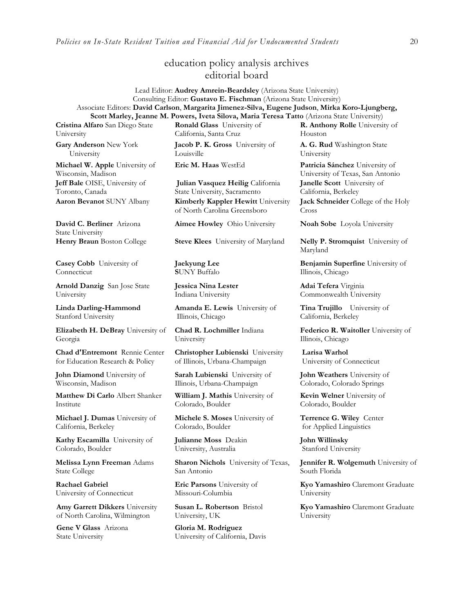*Policies on In-State Resident Tuition and Financial Aid for Undocumented Students* 20

## education policy analysis archives editorial board

Lead Editor: **Audrey Amrein-Beardsley** (Arizona State University) Consulting Editor: **Gustavo E. Fischman** (Arizona State University) Associate Editors: **David Carlson**, **Margarita Jimenez-Silva, Eugene Judson**, **Mirka Koro-Ljungberg, Scott Marley, Jeanne M. Powers, Iveta Silova, Maria Teresa Tatto** (Arizona State University)

**Cristina Alfaro** San Diego State University

**Gary Anderson** New York University

**Michael W. Apple** University of Wisconsin, Madison **Jeff Bale** OISE, University of Toronto, Canada

**David C. Berliner** Arizona State University

**Casey Cobb** University of Connecticut

**Arnold Danzig** San Jose State University

**Linda Darling-Hammond**  Stanford University

**Elizabeth H. DeBray** University of Georgia

**Chad d'Entremont** Rennie Center for Education Research & Policy

**John Diamond** University of Wisconsin, Madison

**Matthew Di Carlo** Albert Shanker Institute

**Michael J. Dumas** University of California, Berkeley

**Kathy Escamilla** University of Colorado, Boulder

**Melissa Lynn Freeman** Adams State College

**Rachael Gabriel** University of Connecticut

**Amy Garrett Dikkers** University of North Carolina, Wilmington

**Gene V Glass** Arizona State University

**Ronald Glass** University of California, Santa Cruz

**Jacob P. K. Gross** University of Louisville

**Julian Vasquez Heilig** California State University, Sacramento **Aaron Bevanot** SUNY Albany **Kimberly Kappler Hewitt** University of North Carolina Greensboro

**Aimee Howley** Ohio University **Noah Sobe** Loyola University

**Henry Braun** Boston College **Steve Klees** University of Maryland **Nelly P. Stromquist** University of

**Jaekyung Lee S**UNY Buffalo

**Jessica Nina Lester** Indiana University

**Amanda E. Lewis** University of Illinois, Chicago

**Chad R. Lochmiller** Indiana University

**Christopher Lubienski** University of Illinois, Urbana-Champaign

**Sarah Lubienski** University of Illinois, Urbana-Champaign

**William J. Mathis** University of Colorado, Boulder

**Michele S. Moses** University of Colorado, Boulder

**Julianne Moss** Deakin University, Australia

**Sharon Nichols** University of Texas, San Antonio

**Eric Parsons** University of Missouri-Columbia

**Susan L. Robertson** Bristol University, UK

**Gloria M. Rodriguez** University of California, Davis **R. Anthony Rolle** University of Houston

**A. G. Rud** Washington State University

**Eric M. Haas** WestEd **Patricia Sánchez** University of University of Texas, San Antonio **Janelle Scott** University of California, Berkeley

> **Jack Schneider** College of the Holy Cross

Maryland

**Benjamin Superfine** University of Illinois, Chicago

**Adai Tefera** Virginia Commonwealth University

**Tina Trujillo** University of California, Berkeley

**Federico R. Waitoller** University of Illinois, Chicago

**Larisa Warhol** University of Connecticut

**John Weathers** University of Colorado, Colorado Springs

**Kevin Welner** University of Colorado, Boulder

**Terrence G. Wiley** Center for Applied Linguistics

**John Willinsky**  Stanford University

**Jennifer R. Wolgemuth** University of South Florida

**Kyo Yamashiro** Claremont Graduate University

**Kyo Yamashiro** Claremont Graduate University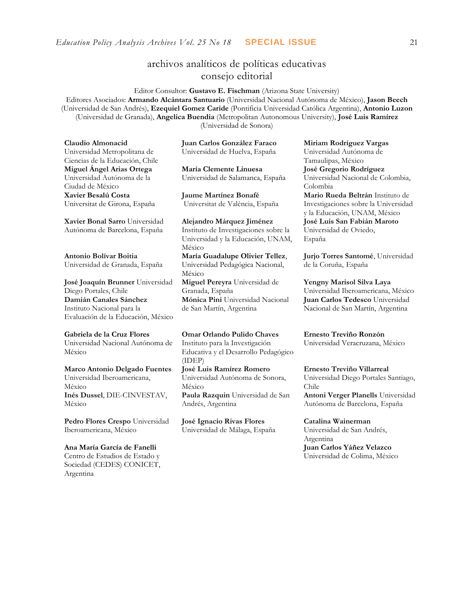## archivos analíticos de políticas educativas consejo editorial

Editor Consultor: **Gustavo E. Fischman** (Arizona State University) Editores Asociados: **Armando Alcántara Santuario** (Universidad Nacional Autónoma de México), **Jason Beech** (Universidad de San Andrés), **Ezequiel Gomez Caride** (Pontificia Universidad Católica Argentina), **Antonio Luzon** (Universidad de Granada), **Angelica Buendia** (Metropolitan Autonomous University), **José Luis Ramírez** (Universidad de Sonora)

**Claudio Almonacid** Universidad Metropolitana de Ciencias de la Educación, Chile **Miguel Ángel Arias Ortega**  Universidad Autónoma de la Ciudad de México **Xavier Besalú Costa**  Universitat de Girona, España

**[Xavier Bonal](javascript:openRTWindow() Sarro** Universidad Autónoma de Barcelona, España

**[Antonio Bolívar](javascript:openRTWindow() Boitia** Universidad de Granada, España

**[José Joaquín Brunner](javascript:openRTWindow()** Universidad Diego Portales, Chile **[Damián Canales Sánchez](javascript:openRTWindow()** Instituto Nacional para la Evaluación de la Educación, México

**Gabriela de la Cruz Flores** Universidad Nacional Autónoma de México

**[Marco Antonio Delgado Fuentes](javascript:openRTWindow()** Universidad Iberoamericana, México **[Inés Dussel](javascript:openRTWindow()**, DIE-CINVESTAV, México

**[Pedro Flores Crespo](javascript:openRTWindow()** Universidad Iberoamericana, México

**Ana María García de Fanelli**  Centro de Estudios de Estado y Sociedad (CEDES) CONICET, Argentina

**Juan Carlos González Faraco**  Universidad de Huelva, España

**María Clemente Linuesa**  Universidad de Salamanca, España

**Jaume Martínez Bonafé** Universitat de València, España

**Alejandro Márquez Jiménez**  Instituto de Investigaciones sobre la Universidad y la Educación, UNAM, México **María Guadalupe Olivier Tellez**, Universidad Pedagógica Nacional, México **[Miguel Pereyra](javascript:openRTWindow()** Universidad de Granada, España **[Mónica Pini](javascript:openRTWindow()** Universidad Nacional de San Martín, Argentina

**Omar Orlando Pulido Chaves** Instituto para la Investigación Educativa y el Desarrollo Pedagógico (IDEP)

**[José Luis Ramírez](javascript:openRTWindow() Romero** Universidad Autónoma de Sonora, México **[Paula Razquin](javascript:openRTWindow()** Universidad de San Andrés, Argentina

**José Ignacio Rivas Flores** Universidad de Málaga, España **[Miriam Rodríguez Vargas](javascript:openRTWindow()** Universidad Autónoma de Tamaulipas, México **José Gregorio Rodríguez**  Universidad Nacional de Colombia, Colombia

**[Mario Rueda Beltrán](javascript:openRTWindow()** Instituto de Investigaciones sobre la Universidad y la Educación, UNAM, México **José Luis San Fabián Maroto**  Universidad de Oviedo, España

**[Jurjo Torres Santomé](javascript:openRTWindow()**, Universidad de la Coruña, España

**[Yengny Marisol Silva Laya](javascript:openRTWindow()** Universidad Iberoamericana, México **Juan Carlos Tedesco** Universidad Nacional de San Martín, Argentina

**Ernesto Treviño Ronzón** Universidad Veracruzana, México

**[Ernesto Treviño](javascript:openRTWindow() Villarreal** Universidad Diego Portales Santiago, Chile **[Antoni Verger Planells](javascript:openRTWindow()** Universidad Autónoma de Barcelona, España

**[Catalina Wainerman](javascript:openRTWindow()** Universidad de San Andrés, Argentina **Juan Carlos Yáñez Velazco** Universidad de Colima, México